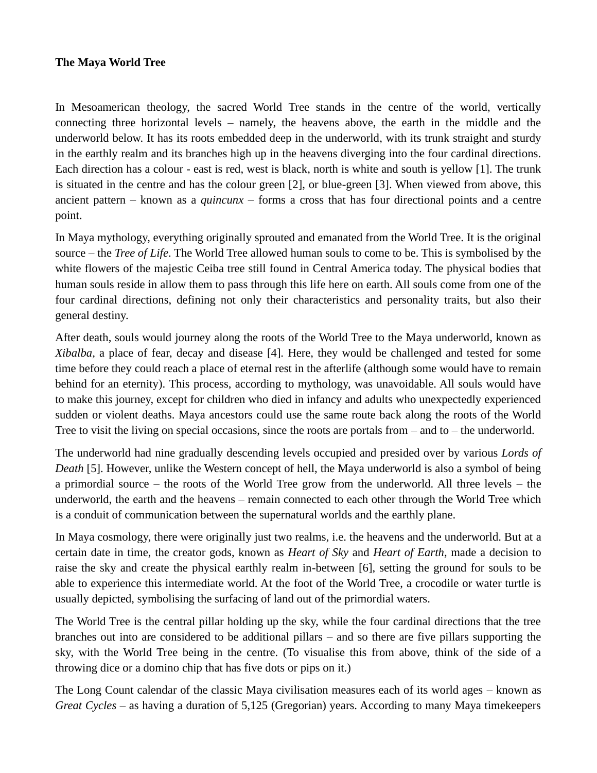## **The Maya World Tree**

In Mesoamerican theology, the sacred World Tree stands in the centre of the world, vertically connecting three horizontal levels – namely, the heavens above, the earth in the middle and the underworld below. It has its roots embedded deep in the underworld, with its trunk straight and sturdy in the earthly realm and its branches high up in the heavens diverging into the four cardinal directions. Each direction has a colour - east is red, west is black, north is white and south is yellow [1]. The trunk is situated in the centre and has the colour green [2], or blue-green [3]. When viewed from above, this ancient pattern – known as a *quincunx* – forms a cross that has four directional points and a centre point.

In Maya mythology, everything originally sprouted and emanated from the World Tree. It is the original source – the *Tree of Life*. The World Tree allowed human souls to come to be. This is symbolised by the white flowers of the majestic Ceiba tree still found in Central America today. The physical bodies that human souls reside in allow them to pass through this life here on earth. All souls come from one of the four cardinal directions, defining not only their characteristics and personality traits, but also their general destiny.

After death, souls would journey along the roots of the World Tree to the Maya underworld, known as *Xibalba,* a place of fear, decay and disease [4]. Here, they would be challenged and tested for some time before they could reach a place of eternal rest in the afterlife (although some would have to remain behind for an eternity). This process, according to mythology, was unavoidable. All souls would have to make this journey, except for children who died in infancy and adults who unexpectedly experienced sudden or violent deaths. Maya ancestors could use the same route back along the roots of the World Tree to visit the living on special occasions, since the roots are portals from – and to – the underworld.

The underworld had nine gradually descending levels occupied and presided over by various *Lords of Death* [5]. However, unlike the Western concept of hell, the Maya underworld is also a symbol of being a primordial source – the roots of the World Tree grow from the underworld. All three levels – the underworld, the earth and the heavens – remain connected to each other through the World Tree which is a conduit of communication between the supernatural worlds and the earthly plane.

In Maya cosmology, there were originally just two realms, i.e. the heavens and the underworld. But at a certain date in time, the creator gods, known as *Heart of Sky* and *Heart of Earth*, made a decision to raise the sky and create the physical earthly realm in-between [6], setting the ground for souls to be able to experience this intermediate world. At the foot of the World Tree, a crocodile or water turtle is usually depicted, symbolising the surfacing of land out of the primordial waters.

The World Tree is the central pillar holding up the sky, while the four cardinal directions that the tree branches out into are considered to be additional pillars – and so there are five pillars supporting the sky, with the World Tree being in the centre. (To visualise this from above, think of the side of a throwing dice or a domino chip that has five dots or pips on it.)

The Long Count calendar of the classic Maya civilisation measures each of its world ages – known as *Great Cycles –* as having a duration of 5,125 (Gregorian) years. According to many Maya timekeepers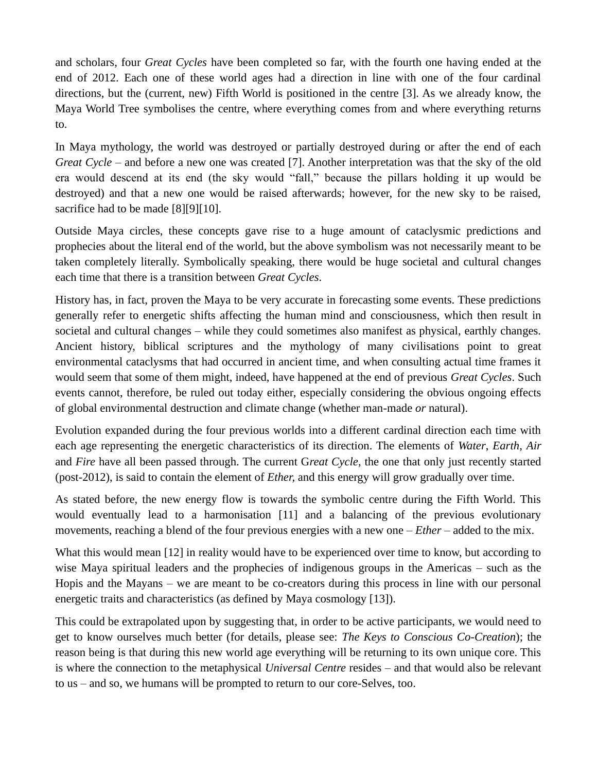and scholars, four *Great Cycles* have been completed so far, with the fourth one having ended at the end of 2012. Each one of these world ages had a direction in line with one of the four cardinal directions, but the (current, new) Fifth World is positioned in the centre [3]. As we already know, the Maya World Tree symbolises the centre, where everything comes from and where everything returns to.

In Maya mythology, the world was destroyed or partially destroyed during or after the end of each *Great Cycle –* and before a new one was created [7]. Another interpretation was that the sky of the old era would descend at its end (the sky would "fall," because the pillars holding it up would be destroyed) and that a new one would be raised afterwards; however, for the new sky to be raised, sacrifice had to be made [8][9][10].

Outside Maya circles, these concepts gave rise to a huge amount of cataclysmic predictions and prophecies about the literal end of the world, but the above symbolism was not necessarily meant to be taken completely literally. Symbolically speaking, there would be huge societal and cultural changes each time that there is a transition between *Great Cycles*.

History has, in fact, proven the Maya to be very accurate in forecasting some events. These predictions generally refer to energetic shifts affecting the human mind and consciousness, which then result in societal and cultural changes – while they could sometimes also manifest as physical, earthly changes. Ancient history, biblical scriptures and the mythology of many civilisations point to great environmental cataclysms that had occurred in ancient time, and when consulting actual time frames it would seem that some of them might, indeed, have happened at the end of previous *Great Cycles*. Such events cannot, therefore, be ruled out today either, especially considering the obvious ongoing effects of global environmental destruction and climate change (whether man-made *or* natural).

Evolution expanded during the four previous worlds into a different cardinal direction each time with each age representing the energetic characteristics of its direction. The elements of *Water*, *Earth*, *Air* and *Fire* have all been passed through. The current G*reat Cycle*, the one that only just recently started (post-2012), is said to contain the element of *Ether,* and this energy will grow gradually over time.

As stated before, the new energy flow is towards the symbolic centre during the Fifth World. This would eventually lead to a harmonisation [11] and a balancing of the previous evolutionary movements, reaching a blend of the four previous energies with a new one – *Ether –* added to the mix.

What this would mean [12] in reality would have to be experienced over time to know, but according to wise Maya spiritual leaders and the prophecies of indigenous groups in the Americas – such as the Hopis and the Mayans – we are meant to be co-creators during this process in line with our personal energetic traits and characteristics (as defined by Maya cosmology [13]).

This could be extrapolated upon by suggesting that, in order to be active participants, we would need to get to know ourselves much better (for details, please see: *The Keys to Conscious Co-Creation*); the reason being is that during this new world age everything will be returning to its own unique core. This is where the connection to the metaphysical *Universal Centre* resides – and that would also be relevant to us – and so, we humans will be prompted to return to our core-Selves, too.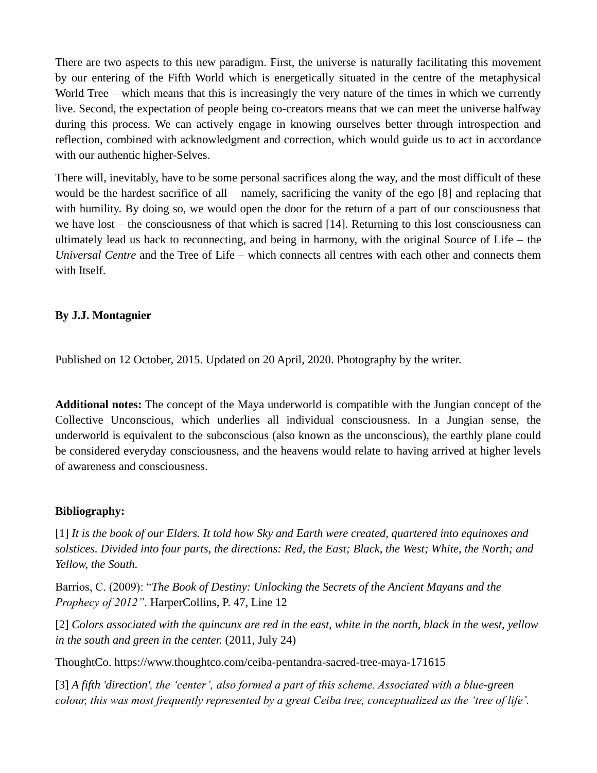There are two aspects to this new paradigm. First, the universe is naturally facilitating this movement by our entering of the Fifth World which is energetically situated in the centre of the metaphysical World Tree – which means that this is increasingly the very nature of the times in which we currently live. Second, the expectation of people being co-creators means that we can meet the universe halfway during this process. We can actively engage in knowing ourselves better through introspection and reflection, combined with acknowledgment and correction, which would guide us to act in accordance with our authentic higher-Selves.

There will, inevitably, have to be some personal sacrifices along the way, and the most difficult of these would be the hardest sacrifice of all – namely, sacrificing the vanity of the ego [8] and replacing that with humility. By doing so, we would open the door for the return of a part of our consciousness that we have lost – the consciousness of that which is sacred [14]. Returning to this lost consciousness can ultimately lead us back to reconnecting, and being in harmony, with the original Source of Life – the *Universal Centre* and the Tree of Life – which connects all centres with each other and connects them with Itself.

## **By J.J. Montagnier**

Published on 12 October, 2015. Updated on 20 April, 2020. Photography by the writer.

**Additional notes:** The concept of the Maya underworld is compatible with the Jungian concept of the Collective Unconscious, which underlies all individual consciousness. In a Jungian sense, the underworld is equivalent to the subconscious (also known as the unconscious), the earthly plane could be considered everyday consciousness, and the heavens would relate to having arrived at higher levels of awareness and consciousness.

## **Bibliography:**

[1] *It is the book of our Elders. It told how Sky and Earth were created, quartered into equinoxes and solstices. Divided into four parts, the directions: Red, the East; Black, the West; White, the North; and Yellow, the South.* 

Barrios, C. (2009): "*The Book of Destiny: Unlocking the Secrets of the Ancient Mayans and the Prophecy of 2012"*. HarperCollins, P. 47, Line 12

[2] *Colors associated with the quincunx are red in the east, white in the north, black in the west, yellow in the south and green in the center.* (2011, July 24)

ThoughtCo. https://www.thoughtco.com/ceiba-pentandra-sacred-tree-maya-171615

[3] *A fifth 'direction', the 'center', also formed a part of this scheme. Associated with a blue-green colour, this was most frequently represented by a great Ceiba tree, conceptualized as the 'tree of life'.*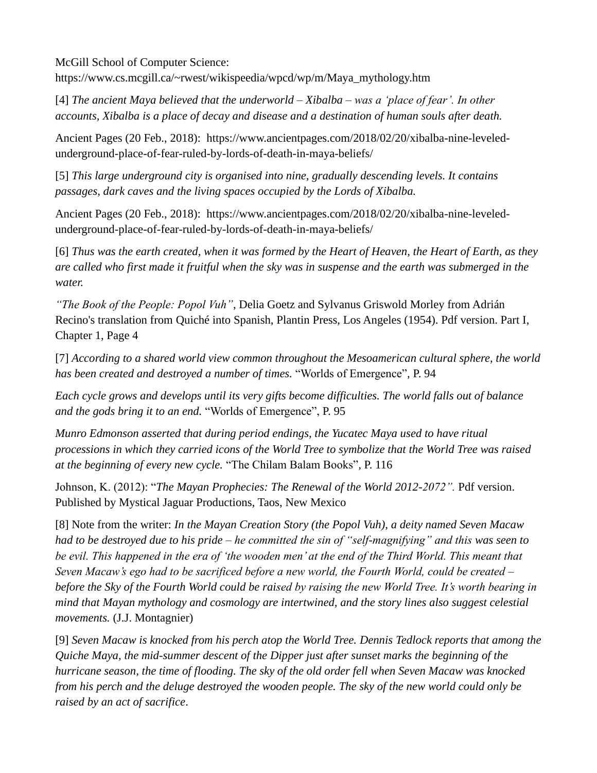McGill School of Computer Science:

https://www.cs.mcgill.ca/~rwest/wikispeedia/wpcd/wp/m/Maya\_mythology.htm

[4] *The ancient Maya believed that the underworld – Xibalba – was a 'place of fear'. In other accounts, Xibalba is a place of decay and disease and a destination of human souls after death.* 

Ancient Pages (20 Feb., 2018): https://www.ancientpages.com/2018/02/20/xibalba-nine-leveledunderground-place-of-fear-ruled-by-lords-of-death-in-maya-beliefs/

[5] *This large underground city is organised into nine, gradually descending levels. It contains passages, dark caves and the living spaces occupied by the Lords of Xibalba.*

Ancient Pages (20 Feb., 2018): https://www.ancientpages.com/2018/02/20/xibalba-nine-leveledunderground-place-of-fear-ruled-by-lords-of-death-in-maya-beliefs/

[6] *Thus was the earth created, when it was formed by the Heart of Heaven, the Heart of Earth, as they are called who first made it fruitful when the sky was in suspense and the earth was submerged in the water.* 

*"The Book of the People: Popol Vuh"*, Delia Goetz and Sylvanus Griswold Morley from Adrián Recino's translation from Quiché into Spanish, Plantin Press, Los Angeles (1954). Pdf version. Part I, Chapter 1, Page 4

[7] *According to a shared world view common throughout the Mesoamerican cultural sphere, the world has been created and destroyed a number of times.* "Worlds of Emergence"*,* P. 94

*Each cycle grows and develops until its very gifts become difficulties. The world falls out of balance and the gods bring it to an end.* "Worlds of Emergence", P. 95

*Munro Edmonson asserted that during period endings, the Yucatec Maya used to have ritual processions in which they carried icons of the World Tree to symbolize that the World Tree was raised at the beginning of every new cycle.* "The Chilam Balam Books"*,* P. 116

Johnson, K. (2012): "*The Mayan Prophecies: The Renewal of the World 2012-2072".* Pdf version. Published by Mystical Jaguar Productions, Taos, New Mexico

[8] Note from the writer: *In the Mayan Creation Story (the Popol Vuh), a deity named Seven Macaw had to be destroyed due to his pride – he committed the sin of "self-magnifying" and this was seen to be evil. This happened in the era of 'the wooden men' at the end of the Third World. This meant that Seven Macaw's ego had to be sacrificed before a new world, the Fourth World, could be created – before the Sky of the Fourth World could be raised by raising the new World Tree. It's worth bearing in mind that Mayan mythology and cosmology are intertwined, and the story lines also suggest celestial movements.* (J.J. Montagnier)

[9] *Seven Macaw is knocked from his perch atop the World Tree. Dennis Tedlock reports that among the Quiche Maya, the mid-summer descent of the Dipper just after sunset marks the beginning of the hurricane season, the time of flooding. The sky of the old order fell when Seven Macaw was knocked from his perch and the deluge destroyed the wooden people. The sky of the new world could only be raised by an act of sacrifice*.